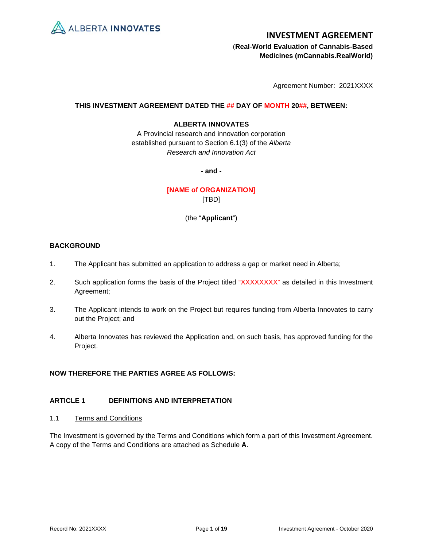

 (**Real-World Evaluation of Cannabis-Based Medicines (mCannabis.RealWorld)**

Agreement Number: 2021XXXX

## **THIS INVESTMENT AGREEMENT DATED THE ## DAY OF MONTH 20##, BETWEEN:**

## **ALBERTA INNOVATES**

A Provincial research and innovation corporation established pursuant to Section 6.1(3) of the *Alberta Research and Innovation Act*

**- and -**

**[NAME of ORGANIZATION]** [TBD]

(the "**Applicant**")

# **BACKGROUND**

- 1. The Applicant has submitted an application to address a gap or market need in Alberta;
- 2. Such application forms the basis of the Project titled "XXXXXXXX" as detailed in this Investment Agreement;
- 3. The Applicant intends to work on the Project but requires funding from Alberta Innovates to carry out the Project; and
- 4. Alberta Innovates has reviewed the Application and, on such basis, has approved funding for the Project.

# **NOW THEREFORE THE PARTIES AGREE AS FOLLOWS:**

# **ARTICLE 1 DEFINITIONS AND INTERPRETATION**

1.1 Terms and Conditions

The Investment is governed by the Terms and Conditions which form a part of this Investment Agreement. A copy of the Terms and Conditions are attached as Schedule **A**.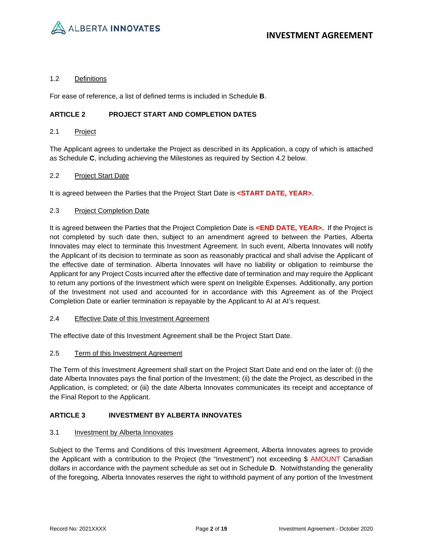

## 1.2 Definitions

For ease of reference, a list of defined terms is included in Schedule **B**.

# **ARTICLE 2 PROJECT START AND COMPLETION DATES**

## 2.1 Project

The Applicant agrees to undertake the Project as described in its Application, a copy of which is attached as Schedule **C**, including achieving the Milestones as required by Section [4.2](#page-3-0) below.

## 2.2 Project Start Date

It is agreed between the Parties that the Project Start Date is **<START DATE, YEAR>**.

## 2.3 Project Completion Date

It is agreed between the Parties that the Project Completion Date is **<END DATE, YEAR>.** If the Project is not completed by such date then, subject to an amendment agreed to between the Parties, Alberta Innovates may elect to terminate this Investment Agreement. In such event, Alberta Innovates will notify the Applicant of its decision to terminate as soon as reasonably practical and shall advise the Applicant of the effective date of termination. Alberta Innovates will have no liability or obligation to reimburse the Applicant for any Project Costs incurred after the effective date of termination and may require the Applicant to return any portions of the Investment which were spent on Ineligible Expenses. Additionally, any portion of the Investment not used and accounted for in accordance with this Agreement as of the Project Completion Date or earlier termination is repayable by the Applicant to AI at AI's request.

## 2.4 Effective Date of this Investment Agreement

The effective date of this Investment Agreement shall be the Project Start Date.

## 2.5 Term of this Investment Agreement

The Term of this Investment Agreement shall start on the Project Start Date and end on the later of: (i) the date Alberta Innovates pays the final portion of the Investment; (ii) the date the Project, as described in the Application, is completed; or (iii) the date Alberta Innovates communicates its receipt and acceptance of the Final Report to the Applicant.

## **ARTICLE 3 INVESTMENT BY ALBERTA INNOVATES**

## 3.1 Investment by Alberta Innovates

Subject to the Terms and Conditions of this Investment Agreement, Alberta Innovates agrees to provide the Applicant with a contribution to the Project (the "Investment") not exceeding \$ AMOUNT Canadian dollars in accordance with the payment schedule as set out in Schedule **D**. Notwithstanding the generality of the foregoing, Alberta Innovates reserves the right to withhold payment of any portion of the Investment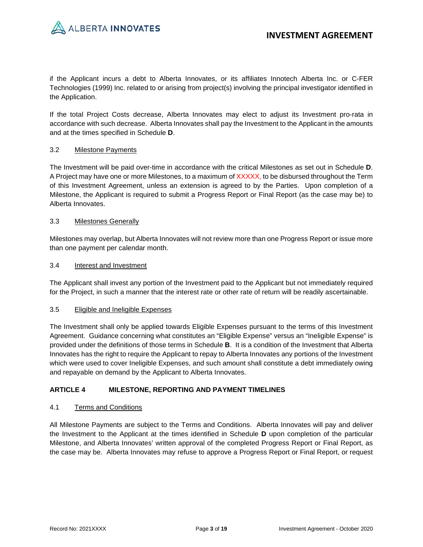if the Applicant incurs a debt to Alberta Innovates, or its affiliates Innotech Alberta Inc. or C-FER Technologies (1999) Inc. related to or arising from project(s) involving the principal investigator identified in the Application.

If the total Project Costs decrease, Alberta Innovates may elect to adjust its Investment pro-rata in accordance with such decrease. Alberta Innovates shall pay the Investment to the Applicant in the amounts and at the times specified in Schedule **D**.

# 3.2 Milestone Payments

The Investment will be paid over-time in accordance with the critical Milestones as set out in Schedule **D**. A Project may have one or more Milestones, to a maximum of XXXXX, to be disbursed throughout the Term of this Investment Agreement, unless an extension is agreed to by the Parties. Upon completion of a Milestone, the Applicant is required to submit a Progress Report or Final Report (as the case may be) to Alberta Innovates.

# 3.3 Milestones Generally

Milestones may overlap, but Alberta Innovates will not review more than one Progress Report or issue more than one payment per calendar month.

## 3.4 Interest and Investment

The Applicant shall invest any portion of the Investment paid to the Applicant but not immediately required for the Project, in such a manner that the interest rate or other rate of return will be readily ascertainable.

## 3.5 Eligible and Ineligible Expenses

The Investment shall only be applied towards Eligible Expenses pursuant to the terms of this Investment Agreement. Guidance concerning what constitutes an "Eligible Expense" versus an "Ineligible Expense" is provided under the definitions of those terms in Schedule **B**. It is a condition of the Investment that Alberta Innovates has the right to require the Applicant to repay to Alberta Innovates any portions of the Investment which were used to cover Ineligible Expenses, and such amount shall constitute a debt immediately owing and repayable on demand by the Applicant to Alberta Innovates.

# **ARTICLE 4 MILESTONE, REPORTING AND PAYMENT TIMELINES**

## 4.1 Terms and Conditions

All Milestone Payments are subject to the Terms and Conditions. Alberta Innovates will pay and deliver the Investment to the Applicant at the times identified in Schedule **D** upon completion of the particular Milestone, and Alberta Innovates' written approval of the completed Progress Report or Final Report, as the case may be. Alberta Innovates may refuse to approve a Progress Report or Final Report, or request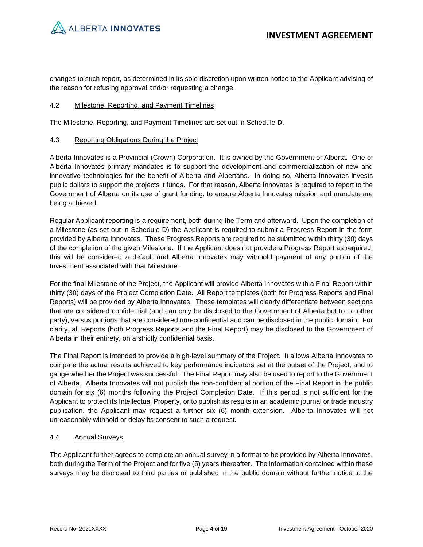

changes to such report, as determined in its sole discretion upon written notice to the Applicant advising of the reason for refusing approval and/or requesting a change.

## <span id="page-3-0"></span>4.2 Milestone, Reporting, and Payment Timelines

The Milestone, Reporting, and Payment Timelines are set out in Schedule **D**.

## 4.3 Reporting Obligations During the Project

Alberta Innovates is a Provincial (Crown) Corporation. It is owned by the Government of Alberta. One of Alberta Innovates primary mandates is to support the development and commercialization of new and innovative technologies for the benefit of Alberta and Albertans. In doing so, Alberta Innovates invests public dollars to support the projects it funds. For that reason, Alberta Innovates is required to report to the Government of Alberta on its use of grant funding, to ensure Alberta Innovates mission and mandate are being achieved.

Regular Applicant reporting is a requirement, both during the Term and afterward. Upon the completion of a Milestone (as set out in Schedule D) the Applicant is required to submit a Progress Report in the form provided by Alberta Innovates. These Progress Reports are required to be submitted within thirty (30) days of the completion of the given Milestone. If the Applicant does not provide a Progress Report as required, this will be considered a default and Alberta Innovates may withhold payment of any portion of the Investment associated with that Milestone.

For the final Milestone of the Project, the Applicant will provide Alberta Innovates with a Final Report within thirty (30) days of the Project Completion Date. All Report templates (both for Progress Reports and Final Reports) will be provided by Alberta Innovates. These templates will clearly differentiate between sections that are considered confidential (and can only be disclosed to the Government of Alberta but to no other party), versus portions that are considered non-confidential and can be disclosed in the public domain. For clarity, all Reports (both Progress Reports and the Final Report) may be disclosed to the Government of Alberta in their entirety, on a strictly confidential basis.

The Final Report is intended to provide a high-level summary of the Project. It allows Alberta Innovates to compare the actual results achieved to key performance indicators set at the outset of the Project, and to gauge whether the Project was successful. The Final Report may also be used to report to the Government of Alberta. Alberta Innovates will not publish the non-confidential portion of the Final Report in the public domain for six (6) months following the Project Completion Date. If this period is not sufficient for the Applicant to protect its Intellectual Property, or to publish its results in an academic journal or trade industry publication, the Applicant may request a further six (6) month extension. Alberta Innovates will not unreasonably withhold or delay its consent to such a request.

## 4.4 Annual Surveys

The Applicant further agrees to complete an annual survey in a format to be provided by Alberta Innovates, both during the Term of the Project and for five (5) years thereafter. The information contained within these surveys may be disclosed to third parties or published in the public domain without further notice to the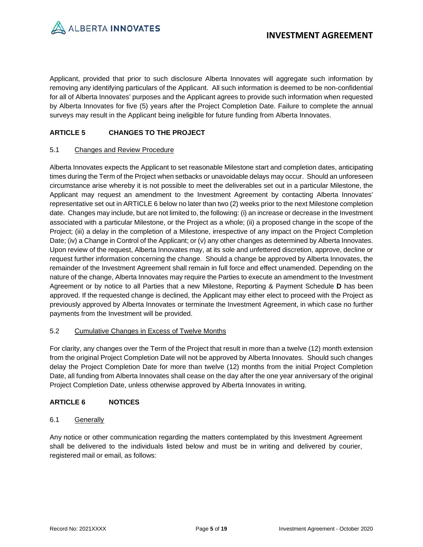

Applicant, provided that prior to such disclosure Alberta Innovates will aggregate such information by removing any identifying particulars of the Applicant. All such information is deemed to be non-confidential for all of Alberta Innovates' purposes and the Applicant agrees to provide such information when requested by Alberta Innovates for five (5) years after the Project Completion Date. Failure to complete the annual surveys may result in the Applicant being ineligible for future funding from Alberta Innovates.

# **ARTICLE 5 CHANGES TO THE PROJECT**

# 5.1 Changes and Review Procedure

Alberta Innovates expects the Applicant to set reasonable Milestone start and completion dates, anticipating times during the Term of the Project when setbacks or unavoidable delays may occur. Should an unforeseen circumstance arise whereby it is not possible to meet the deliverables set out in a particular Milestone, the Applicant may request an amendment to the Investment Agreement by contacting Alberta Innovates' representative set out i[n ARTICLE 6](#page-4-0) below no later than two (2) weeks prior to the next Milestone completion date. Changes may include, but are not limited to, the following: (i) an increase or decrease in the Investment associated with a particular Milestone, or the Project as a whole; (ii) a proposed change in the scope of the Project; (iii) a delay in the completion of a Milestone, irrespective of any impact on the Project Completion Date; (iv) a Change in Control of the Applicant; or (v) any other changes as determined by Alberta Innovates. Upon review of the request, Alberta Innovates may, at its sole and unfettered discretion, approve, decline or request further information concerning the change. Should a change be approved by Alberta Innovates, the remainder of the Investment Agreement shall remain in full force and effect unamended. Depending on the nature of the change, Alberta Innovates may require the Parties to execute an amendment to the Investment Agreement or by notice to all Parties that a new Milestone, Reporting & Payment Schedule **D** has been approved. If the requested change is declined, the Applicant may either elect to proceed with the Project as previously approved by Alberta Innovates or terminate the Investment Agreement, in which case no further payments from the Investment will be provided.

## 5.2 Cumulative Changes in Excess of Twelve Months

For clarity, any changes over the Term of the Project that result in more than a twelve (12) month extension from the original Project Completion Date will not be approved by Alberta Innovates. Should such changes delay the Project Completion Date for more than twelve (12) months from the initial Project Completion Date, all funding from Alberta Innovates shall cease on the day after the one year anniversary of the original Project Completion Date, unless otherwise approved by Alberta Innovates in writing.

# <span id="page-4-0"></span>**ARTICLE 6 NOTICES**

## 6.1 Generally

Any notice or other communication regarding the matters contemplated by this Investment Agreement shall be delivered to the individuals listed below and must be in writing and delivered by courier, registered mail or email, as follows: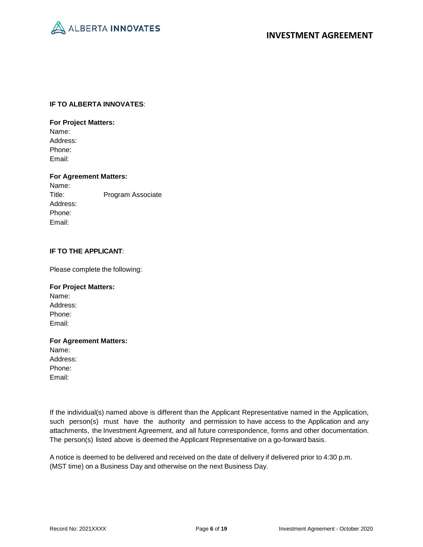

## **IF TO ALBERTA INNOVATES**:

## **For Project Matters:**

Name: Address: Phone: Email:

**For Agreement Matters:** Name: Title: Program Associate Address: Phone: Email:

# **IF TO THE APPLICANT**:

Please complete the following:

# **For Project Matters:** Name: Address: Phone: Email:

# **For Agreement Matters:** Name: Address: Phone: Email:

If the individual(s) named above is different than the Applicant Representative named in the Application, such person(s) must have the authority and permission to have access to the Application and any attachments, the Investment Agreement, and all future correspondence, forms and other documentation. The person(s) listed above is deemed the Applicant Representative on a go-forward basis.

A notice is deemed to be delivered and received on the date of delivery if delivered prior to 4:30 p.m. (MST time) on a Business Day and otherwise on the next Business Day.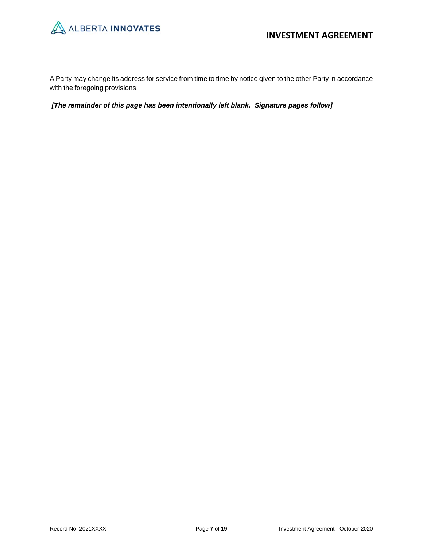

A Party may change its address for service from time to time by notice given to the other Party in accordance with the foregoing provisions.

*[The remainder of this page has been intentionally left blank. Signature pages follow]*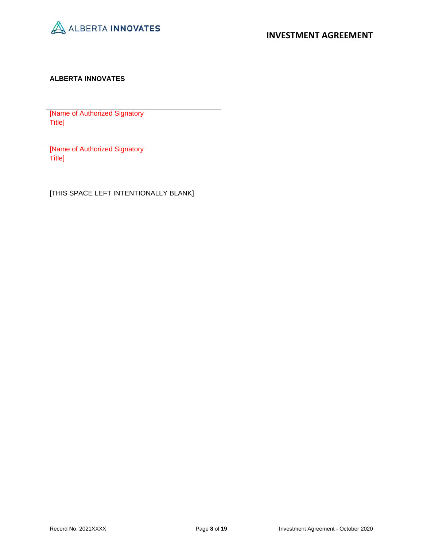

# **ALBERTA INNOVATES**

[Name of Authorized Signatory Title]

[Name of Authorized Signatory Title]

[THIS SPACE LEFT INTENTIONALLY BLANK]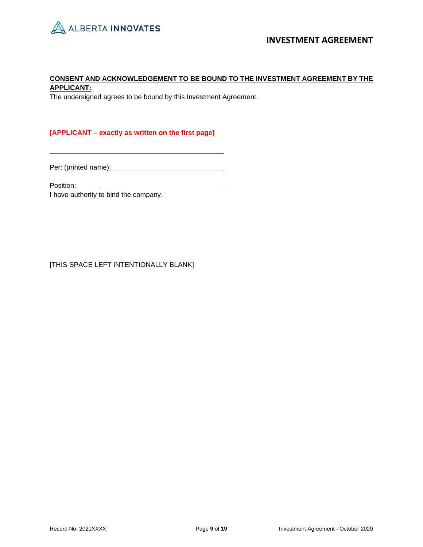

# **CONSENT AND ACKNOWLEDGEMENT TO BE BOUND TO THE INVESTMENT AGREEMENT BY THE APPLICANT:**

The undersigned agrees to be bound by this Investment Agreement.

# **[APPLICANT – exactly as written on the first page]**

Per: (printed name): <u>contained</u>

Position:

I have authority to bind the company.

[THIS SPACE LEFT INTENTIONALLY BLANK]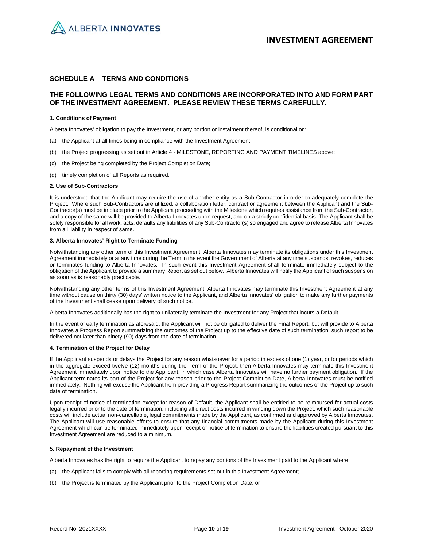

## **SCHEDULE A – TERMS AND CONDITIONS**

## **THE FOLLOWING LEGAL TERMS AND CONDITIONS ARE INCORPORATED INTO AND FORM PART OF THE INVESTMENT AGREEMENT. PLEASE REVIEW THESE TERMS CAREFULLY.**

### **1. Conditions of Payment**

Alberta Innovates' obligation to pay the Investment, or any portion or instalment thereof, is conditional on:

- (a) the Applicant at all times being in compliance with the Investment Agreement;
- (b) the Project progressing as set out in Article 4 MILESTONE, REPORTING AND PAYMENT TIMELINES above;
- (c) the Project being completed by the Project Completion Date;
- (d) timely completion of all Reports as required.

#### **2. Use of Sub-Contractors**

It is understood that the Applicant may require the use of another entity as a Sub-Contractor in order to adequately complete the Project. Where such Sub-Contractors are utilized, a collaboration letter, contract or agreement between the Applicant and the Sub-Contractor(s) must be in place prior to the Applicant proceeding with the Milestone which requires assistance from the Sub-Contractor, and a copy of the same will be provided to Alberta Innovates upon request, and on a strictly confidential basis. The Applicant shall be solely responsible for all work, acts, defaults any liabilities of any Sub-Contractor(s) so engaged and agree to release Alberta Innovates from all liability in respect of same.

### **3. Alberta Innovates' Right to Terminate Funding**

Notwithstanding any other term of this Investment Agreement, Alberta Innovates may terminate its obligations under this Investment Agreement immediately or at any time during the Term in the event the Government of Alberta at any time suspends, revokes, reduces or terminates funding to Alberta Innovates. In such event this Investment Agreement shall terminate immediately subject to the obligation of the Applicant to provide a summary Report as set out below. Alberta Innovates will notify the Applicant of such suspension as soon as is reasonably practicable.

Notwithstanding any other terms of this Investment Agreement, Alberta Innovates may terminate this Investment Agreement at any time without cause on thirty (30) days' written notice to the Applicant, and Alberta Innovates' obligation to make any further payments of the Investment shall cease upon delivery of such notice.

Alberta Innovates additionally has the right to unilaterally terminate the Investment for any Project that incurs a Default.

In the event of early termination as aforesaid, the Applicant will not be obligated to deliver the Final Report, but will provide to Alberta Innovates a Progress Report summarizing the outcomes of the Project up to the effective date of such termination, such report to be delivered not later than ninety (90) days from the date of termination.

### **4. Termination of the Project for Delay**

If the Applicant suspends or delays the Project for any reason whatsoever for a period in excess of one (1) year, or for periods which in the aggregate exceed twelve (12) months during the Term of the Project, then Alberta Innovates may terminate this Investment Agreement immediately upon notice to the Applicant, in which case Alberta Innovates will have no further payment obligation. If the Applicant terminates its part of the Project for any reason prior to the Project Completion Date, Alberta Innovates must be notified immediately. Nothing will excuse the Applicant from providing a Progress Report summarizing the outcomes of the Project up to such date of termination.

Upon receipt of notice of termination except for reason of Default, the Applicant shall be entitled to be reimbursed for actual costs legally incurred prior to the date of termination, including all direct costs incurred in winding down the Project, which such reasonable costs will include actual non-cancellable, legal commitments made by the Applicant, as confirmed and approved by Alberta Innovates. The Applicant will use reasonable efforts to ensure that any financial commitments made by the Applicant during this Investment Agreement which can be terminated immediately upon receipt of notice of termination to ensure the liabilities created pursuant to this Investment Agreement are reduced to a minimum.

### **5. Repayment of the Investment**

Alberta Innovates has the right to require the Applicant to repay any portions of the Investment paid to the Applicant where:

- (a) the Applicant fails to comply with all reporting requirements set out in this Investment Agreement;
- (b) the Project is terminated by the Applicant prior to the Project Completion Date; or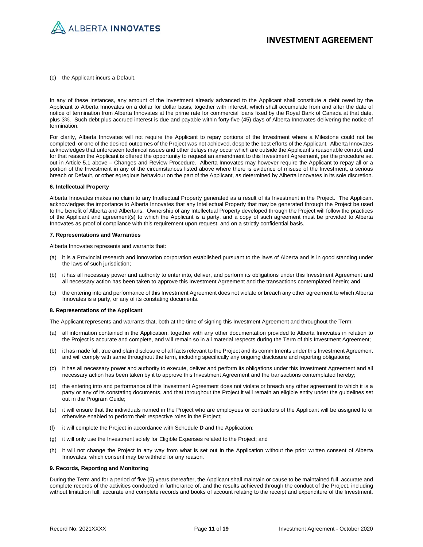

(c) the Applicant incurs a Default.

In any of these instances, any amount of the Investment already advanced to the Applicant shall constitute a debt owed by the Applicant to Alberta Innovates on a dollar for dollar basis, together with interest, which shall accumulate from and after the date of notice of termination from Alberta Innovates at the prime rate for commercial loans fixed by the Royal Bank of Canada at that date, plus 3%. Such debt plus accrued interest is due and payable within forty-five (45) days of Alberta Innovates delivering the notice of termination.

For clarity, Alberta Innovates will not require the Applicant to repay portions of the Investment where a Milestone could not be completed, or one of the desired outcomes of the Project was not achieved, despite the best efforts of the Applicant. Alberta Innovates acknowledges that unforeseen technical issues and other delays may occur which are outside the Applicant's reasonable control, and for that reason the Applicant is offered the opportunity to request an amendment to this Investment Agreement, per the procedure set out in Article 5.1 above – Changes and Review Procedure. Alberta Innovates may however require the Applicant to repay all or a portion of the Investment in any of the circumstances listed above where there is evidence of misuse of the Investment, a serious breach or Default, or other egregious behaviour on the part of the Applicant, as determined by Alberta Innovates in its sole discretion.

#### **6. Intellectual Property**

Alberta Innovates makes no claim to any Intellectual Property generated as a result of its Investment in the Project. The Applicant acknowledges the importance to Alberta Innovates that any Intellectual Property that may be generated through the Project be used to the benefit of Alberta and Albertans. Ownership of any Intellectual Property developed through the Project will follow the practices of the Applicant and agreement(s) to which the Applicant is a party, and a copy of such agreement must be provided to Alberta Innovates as proof of compliance with this requirement upon request, and on a strictly confidential basis.

#### **7. Representations and Warranties**

Alberta Innovates represents and warrants that:

- (a) it is a Provincial research and innovation corporation established pursuant to the laws of Alberta and is in good standing under the laws of such jurisdiction;
- (b) it has all necessary power and authority to enter into, deliver, and perform its obligations under this Investment Agreement and all necessary action has been taken to approve this Investment Agreement and the transactions contemplated herein; and
- (c) the entering into and performance of this Investment Agreement does not violate or breach any other agreement to which Alberta Innovates is a party, or any of its constating documents.

#### **8. Representations of the Applicant**

The Applicant represents and warrants that, both at the time of signing this Investment Agreement and throughout the Term:

- (a) all information contained in the Application, together with any other documentation provided to Alberta Innovates in relation to the Project is accurate and complete, and will remain so in all material respects during the Term of this Investment Agreement;
- (b) it has made full, true and plain disclosure of all facts relevant to the Project and its commitments under this Investment Agreement and will comply with same throughout the term, including specifically any ongoing disclosure and reporting obligations;
- (c) it has all necessary power and authority to execute, deliver and perform its obligations under this Investment Agreement and all necessary action has been taken by it to approve this Investment Agreement and the transactions contemplated hereby;
- (d) the entering into and performance of this Investment Agreement does not violate or breach any other agreement to which it is a party or any of its constating documents, and that throughout the Project it will remain an eligible entity under the guidelines set out in the Program Guide;
- (e) it will ensure that the individuals named in the Project who are employees or contractors of the Applicant will be assigned to or otherwise enabled to perform their respective roles in the Project;
- (f) it will complete the Project in accordance with Schedule **D** and the Application;
- (g) it will only use the Investment solely for Eligible Expenses related to the Project; and
- (h) it will not change the Project in any way from what is set out in the Application without the prior written consent of Alberta Innovates, which consent may be withheld for any reason.

### **9. Records, Reporting and Monitoring**

During the Term and for a period of five (5) years thereafter, the Applicant shall maintain or cause to be maintained full, accurate and complete records of the activities conducted in furtherance of, and the results achieved through the conduct of the Project, including without limitation full, accurate and complete records and books of account relating to the receipt and expenditure of the Investment.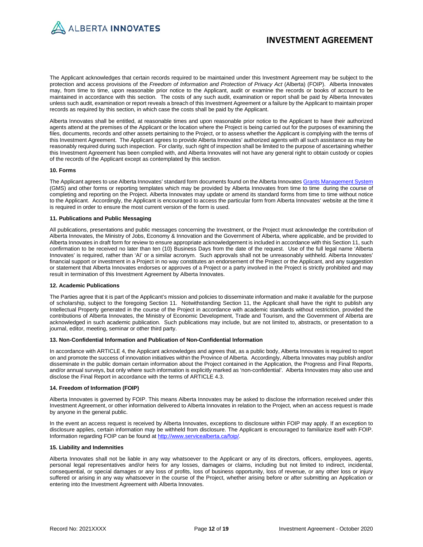

The Applicant acknowledges that certain records required to be maintained under this Investment Agreement may be subject to the protection and access provisions of the *Freedom of Information and Protection of Privacy Act* (Alberta) (FOIP). Alberta Innovates may, from time to time, upon reasonable prior notice to the Applicant, audit or examine the records or books of account to be maintained in accordance with this section. The costs of any such audit, examination or report shall be paid by Alberta Innovates unless such audit, examination or report reveals a breach of this Investment Agreement or a failure by the Applicant to maintain proper records as required by this section, in which case the costs shall be paid by the Applicant.

Alberta Innovates shall be entitled, at reasonable times and upon reasonable prior notice to the Applicant to have their authorized agents attend at the premises of the Applicant or the location where the Project is being carried out for the purposes of examining the files, documents, records and other assets pertaining to the Project, or to assess whether the Applicant is complying with the terms of this Investment Agreement. The Applicant agrees to provide Alberta Innovates' authorized agents with all such assistance as may be reasonably required during such inspection. For clarity, such right of inspection shall be limited to the purpose of ascertaining whether this Investment Agreement has been complied with, and Alberta Innovates will not have any general right to obtain custody or copies of the records of the Applicant except as contemplated by this section.

#### **10. Forms**

The Applicant agrees to use Alberta Innovates' standard form documents found on the Alberta Innovate[s Grants Management System](https://albertainnovates.smartsimple.ca/s_Login.jsp) (GMS) and other forms or reporting templates which may be provided by Alberta Innovates from time to time during the course of completing and reporting on the Project. Alberta Innovates may update or amend its standard forms from time to time without notice to the Applicant. Accordingly, the Applicant is encouraged to access the particular form from Alberta Innovates' website at the time it is required in order to ensure the most current version of the form is used.

### **11. Publications and Public Messaging**

All publications, presentations and public messages concerning the Investment, or the Project must acknowledge the contribution of Alberta Innovates, the Ministry of Jobs, Economy & Innovation and the Government of Alberta, where applicable, and be provided to Alberta Innovates in draft form for review to ensure appropriate acknowledgement is included in accordance with this Section 11, such confirmation to be received no later than ten (10) Business Days from the date of the request. Use of the full legal name 'Alberta Innovates' is required, rather than 'AI' or a similar acronym. Such approvals shall not be unreasonably withheld. Alberta Innovates' financial support or investment in a Project in no way constitutes an endorsement of the Project or the Applicant, and any suggestion or statement that Alberta Innovates endorses or approves of a Project or a party involved in the Project is strictly prohibited and may result in termination of this Investment Agreement by Alberta Innovates.

### **12. Academic Publications**

The Parties agree that it is part of the Applicant's mission and policies to disseminate information and make it available for the purpose of scholarship, subject to the foregoing Section 11. Notwithstanding Section 11, the Applicant shall have the right to publish any Intellectual Property generated in the course of the Project in accordance with academic standards without restriction, provided the contributions of Alberta Innovates, the Ministry of Economic Development, Trade and Tourism, and the Government of Alberta are acknowledged in such academic publication. Such publications may include, but are not limited to, abstracts, or presentation to a journal, editor, meeting, seminar or other third party.

#### **13. Non-Confidential Information and Publication of Non-Confidential Information**

In accordance with ARTICLE 4, the Applicant acknowledges and agrees that, as a public body, Alberta Innovates is required to report on and promote the success of innovation initiatives within the Province of Alberta. Accordingly, Alberta Innovates may publish and/or disseminate in the public domain certain information about the Project contained in the Application, the Progress and Final Reports, and/or annual surveys, but only where such information is explicitly marked as 'non-confidential'. Alberta Innovates may also use and disclose the Final Report in accordance with the terms of ARTICLE 4.3.

### **14. Freedom of Information (FOIP)**

Alberta Innovates is governed by FOIP. This means Alberta Innovates may be asked to disclose the information received under this Investment Agreement, or other information delivered to Alberta Innovates in relation to the Project, when an access request is made by anyone in the general public.

In the event an access request is received by Alberta Innovates, exceptions to disclosure within FOIP may apply. If an exception to disclosure applies, certain information may be withheld from disclosure. The Applicant is encouraged to familiarize itself with FOIP. Information regarding FOIP can be found a[t http://www.servicealberta.ca/foip/.](http://www.servicealberta.ca/foip/)

### **15. Liability and Indemnities**

Alberta Innovates shall not be liable in any way whatsoever to the Applicant or any of its directors, officers, employees, agents, personal legal representatives and/or heirs for any losses, damages or claims, including but not limited to indirect, incidental, consequential, or special damages or any loss of profits, loss of business opportunity, loss of revenue, or any other loss or injury suffered or arising in any way whatsoever in the course of the Project, whether arising before or after submitting an Application or entering into the Investment Agreement with Alberta Innovates.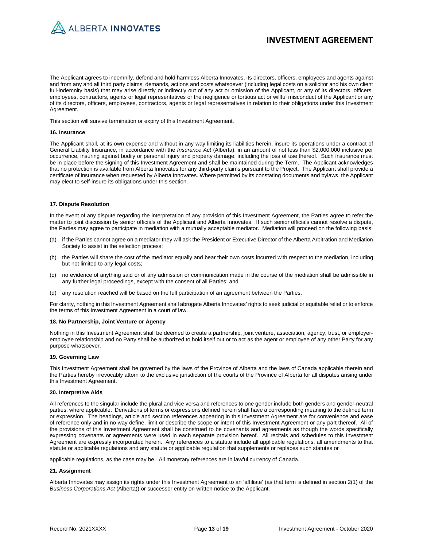

The Applicant agrees to indemnify, defend and hold harmless Alberta Innovates, its directors, officers, employees and agents against and from any and all third party claims, demands, actions and costs whatsoever (including legal costs on a solicitor and his own client full-indemnity basis) that may arise directly or indirectly out of any act or omission of the Applicant, or any of its directors, officers, employees, contractors, agents or legal representatives or the negligence or tortious act or willful misconduct of the Applicant or any of its directors, officers, employees, contractors, agents or legal representatives in relation to their obligations under this Investment Agreement.

This section will survive termination or expiry of this Investment Agreement.

#### **16. Insurance**

The Applicant shall, at its own expense and without in any way limiting its liabilities herein, insure its operations under a contract of General Liability Insurance, in accordance with the *Insurance Act* (Alberta), in an amount of not less than \$2,000,000 inclusive per occurrence, insuring against bodily or personal injury and property damage, including the loss of use thereof. Such insurance must be in place before the signing of this Investment Agreement and shall be maintained during the Term. The Applicant acknowledges that no protection is available from Alberta Innovates for any third-party claims pursuant to the Project. The Applicant shall provide a certificate of insurance when requested by Alberta Innovates. Where permitted by its constating documents and bylaws, the Applicant may elect to self-insure its obligations under this section.

#### **17. Dispute Resolution**

In the event of any dispute regarding the interpretation of any provision of this Investment Agreement, the Parties agree to refer the matter to joint discussion by senior officials of the Applicant and Alberta Innovates. If such senior officials cannot resolve a dispute, the Parties may agree to participate in mediation with a mutually acceptable mediator. Mediation will proceed on the following basis:

- (a) if the Parties cannot agree on a mediator they will ask the President or Executive Director of the Alberta Arbitration and Mediation Society to assist in the selection process;
- (b) the Parties will share the cost of the mediator equally and bear their own costs incurred with respect to the mediation, including but not limited to any legal costs;
- (c) no evidence of anything said or of any admission or communication made in the course of the mediation shall be admissible in any further legal proceedings, except with the consent of all Parties; and
- (d) any resolution reached will be based on the full participation of an agreement between the Parties.

For clarity, nothing in this Investment Agreement shall abrogate Alberta Innovates' rights to seek judicial or equitable relief or to enforce the terms of this Investment Agreement in a court of law.

#### **18. No Partnership, Joint Venture or Agency**

Nothing in this Investment Agreement shall be deemed to create a partnership, joint venture, association, agency, trust, or employeremployee relationship and no Party shall be authorized to hold itself out or to act as the agent or employee of any other Party for any purpose whatsoever.

#### **19. Governing Law**

This Investment Agreement shall be governed by the laws of the Province of Alberta and the laws of Canada applicable therein and the Parties hereby irrevocably attorn to the exclusive jurisdiction of the courts of the Province of Alberta for all disputes arising under this Investment Agreement.

#### **20. Interpretive Aids**

All references to the singular include the plural and vice versa and references to one gender include both genders and gender-neutral parties, where applicable. Derivations of terms or expressions defined herein shall have a corresponding meaning to the defined term or expression. The headings, article and section references appearing in this Investment Agreement are for convenience and ease of reference only and in no way define, limit or describe the scope or intent of this Investment Agreement or any part thereof. All of the provisions of this Investment Agreement shall be construed to be covenants and agreements as though the words specifically expressing covenants or agreements were used in each separate provision hereof. All recitals and schedules to this Investment Agreement are expressly incorporated herein. Any references to a statute include all applicable regulations, all amendments to that statute or applicable regulations and any statute or applicable regulation that supplements or replaces such statutes or

applicable regulations, as the case may be. All monetary references are in lawful currency of Canada.

### **21. Assignment**

Alberta Innovates may assign its rights under this Investment Agreement to an 'affiliate' (as that term is defined in section 2(1) of the *Business Corporations Act* (Alberta)) or successor entity on written notice to the Applicant.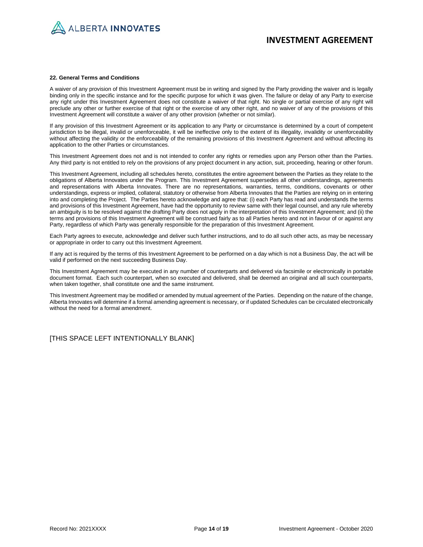

#### **22. General Terms and Conditions**

A waiver of any provision of this Investment Agreement must be in writing and signed by the Party providing the waiver and is legally binding only in the specific instance and for the specific purpose for which it was given. The failure or delay of any Party to exercise any right under this Investment Agreement does not constitute a waiver of that right. No single or partial exercise of any right will preclude any other or further exercise of that right or the exercise of any other right, and no waiver of any of the provisions of this Investment Agreement will constitute a waiver of any other provision (whether or not similar).

If any provision of this Investment Agreement or its application to any Party or circumstance is determined by a court of competent jurisdiction to be illegal, invalid or unenforceable, it will be ineffective only to the extent of its illegality, invalidity or unenforceability without affecting the validity or the enforceability of the remaining provisions of this Investment Agreement and without affecting its application to the other Parties or circumstances.

This Investment Agreement does not and is not intended to confer any rights or remedies upon any Person other than the Parties. Any third party is not entitled to rely on the provisions of any project document in any action, suit, proceeding, hearing or other forum.

This Investment Agreement, including all schedules hereto, constitutes the entire agreement between the Parties as they relate to the obligations of Alberta Innovates under the Program. This Investment Agreement supersedes all other understandings, agreements and representations with Alberta Innovates. There are no representations, warranties, terms, conditions, covenants or other understandings, express or implied, collateral, statutory or otherwise from Alberta Innovates that the Parties are relying on in entering into and completing the Project. The Parties hereto acknowledge and agree that: (i) each Party has read and understands the terms and provisions of this Investment Agreement, have had the opportunity to review same with their legal counsel, and any rule whereby an ambiguity is to be resolved against the drafting Party does not apply in the interpretation of this Investment Agreement; and (ii) the terms and provisions of this Investment Agreement will be construed fairly as to all Parties hereto and not in favour of or against any Party, regardless of which Party was generally responsible for the preparation of this Investment Agreement.

Each Party agrees to execute, acknowledge and deliver such further instructions, and to do all such other acts, as may be necessary or appropriate in order to carry out this Investment Agreement.

If any act is required by the terms of this Investment Agreement to be performed on a day which is not a Business Day, the act will be valid if performed on the next succeeding Business Day.

This Investment Agreement may be executed in any number of counterparts and delivered via facsimile or electronically in portable document format. Each such counterpart, when so executed and delivered, shall be deemed an original and all such counterparts, when taken together, shall constitute one and the same instrument.

This Investment Agreement may be modified or amended by mutual agreement of the Parties. Depending on the nature of the change, Alberta Innovates will determine if a formal amending agreement is necessary, or if updated Schedules can be circulated electronically without the need for a formal amendment.

[THIS SPACE LEFT INTENTIONALLY BLANK]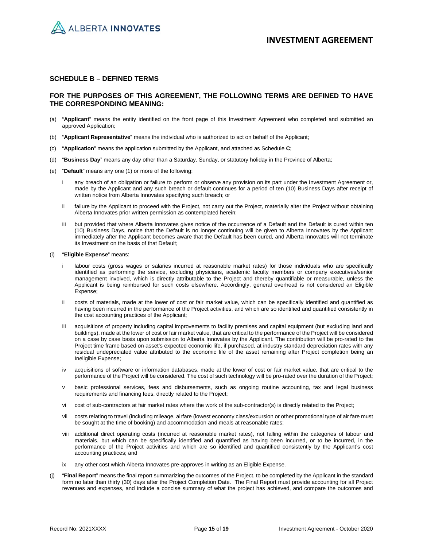

### **SCHEDULE B – DEFINED TERMS**

### **FOR THE PURPOSES OF THIS AGREEMENT, THE FOLLOWING TERMS ARE DEFINED TO HAVE THE CORRESPONDING MEANING:**

- (a) "**Applicant**" means the entity identified on the front page of this Investment Agreement who completed and submitted an approved Application;
- (b) "**Applicant Representative**" means the individual who is authorized to act on behalf of the Applicant;
- (c) "**Application**" means the application submitted by the Applicant, and attached as Schedule **C**;
- (d) "**Business Day**" means any day other than a Saturday, Sunday, or statutory holiday in the Province of Alberta;
- (e) "**Default**" means any one (1) or more of the following:
	- i any breach of an obligation or failure to perform or observe any provision on its part under the Investment Agreement or, made by the Applicant and any such breach or default continues for a period of ten (10) Business Days after receipt of written notice from Alberta Innovates specifying such breach; or
	- ii failure by the Applicant to proceed with the Project, not carry out the Project, materially alter the Project without obtaining Alberta Innovates prior written permission as contemplated herein;
	- but provided that where Alberta Innovates gives notice of the occurrence of a Default and the Default is cured within ten (10) Business Days, notice that the Default is no longer continuing will be given to Alberta Innovates by the Applicant immediately after the Applicant becomes aware that the Default has been cured, and Alberta Innovates will not terminate its Investment on the basis of that Default;
- (i) "**Eligible Expense**" means:
	- i labour costs (gross wages or salaries incurred at reasonable market rates) for those individuals who are specifically identified as performing the service, excluding physicians, academic faculty members or company executives/senior management involved, which is directly attributable to the Project and thereby quantifiable or measurable, unless the Applicant is being reimbursed for such costs elsewhere. Accordingly, general overhead is not considered an Eligible Expense;
	- ii costs of materials, made at the lower of cost or fair market value, which can be specifically identified and quantified as having been incurred in the performance of the Project activities, and which are so identified and quantified consistently in the cost accounting practices of the Applicant;
	- acquisitions of property including capital improvements to facility premises and capital equipment (but excluding land and buildings), made at the lower of cost or fair market value, that are critical to the performance of the Project will be considered on a case by case basis upon submission to Alberta Innovates by the Applicant. The contribution will be pro-rated to the Project time frame based on asset's expected economic life, if purchased, at industry standard depreciation rates with any residual undepreciated value attributed to the economic life of the asset remaining after Project completion being an Ineligible Expense;
	- iv acquisitions of software or information databases, made at the lower of cost or fair market value, that are critical to the performance of the Project will be considered. The cost of such technology will be pro-rated over the duration of the Project;
	- v basic professional services, fees and disbursements, such as ongoing routine accounting, tax and legal business requirements and financing fees, directly related to the Project;
	- vi cost of sub-contractors at fair market rates where the work of the sub-contractor(s) is directly related to the Project;
	- vii costs relating to travel (including mileage, airfare (lowest economy class/excursion or other promotional type of air fare must be sought at the time of booking) and accommodation and meals at reasonable rates;
	- viii additional direct operating costs (incurred at reasonable market rates), not falling within the categories of labour and materials, but which can be specifically identified and quantified as having been incurred, or to be incurred, in the performance of the Project activities and which are so identified and quantified consistently by the Applicant's cost accounting practices; and
	- ix any other cost which Alberta Innovates pre-approves in writing as an Eligible Expense.
- (j) "**Final Report**" means the final report summarizing the outcomes of the Project, to be completed by the Applicant in the standard form no later than thirty (30) days after the Project Completion Date. The Final Report must provide accounting for all Project revenues and expenses, and include a concise summary of what the project has achieved, and compare the outcomes and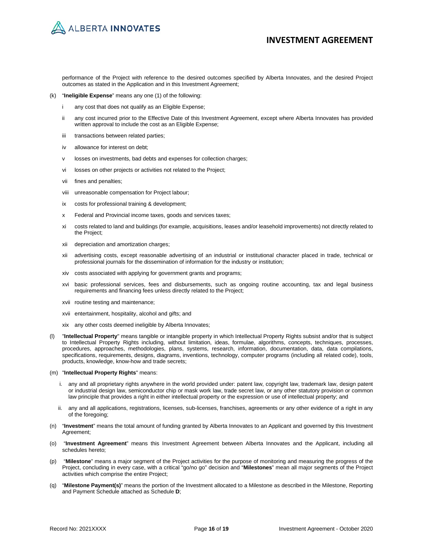

performance of the Project with reference to the desired outcomes specified by Alberta Innovates, and the desired Project outcomes as stated in the Application and in this Investment Agreement;

- (k) "**Ineligible Expense**" means any one (1) of the following:
	- i any cost that does not qualify as an Eligible Expense;
	- ii any cost incurred prior to the Effective Date of this Investment Agreement, except where Alberta Innovates has provided written approval to include the cost as an Eligible Expense;
	- iii transactions between related parties;
	- iv allowance for interest on debt;
	- v losses on investments, bad debts and expenses for collection charges;
	- vi losses on other projects or activities not related to the Project;
	- vii fines and penalties;
	- viii unreasonable compensation for Project labour;
	- ix costs for professional training & development;
	- x Federal and Provincial income taxes, goods and services taxes;
	- xi costs related to land and buildings (for example, acquisitions, leases and/or leasehold improvements) not directly related to the Project;
	- xii depreciation and amortization charges;
	- xii advertising costs, except reasonable advertising of an industrial or institutional character placed in trade, technical or professional journals for the dissemination of information for the industry or institution;
	- xiv costs associated with applying for government grants and programs;
	- xvi basic professional services, fees and disbursements, such as ongoing routine accounting, tax and legal business requirements and financing fees unless directly related to the Project;
	- xvii routine testing and maintenance;
	- xvii entertainment, hospitality, alcohol and gifts; and
	- xix any other costs deemed ineligible by Alberta Innovates;
- (l) "**Intellectual Property**" means tangible or intangible property in which Intellectual Property Rights subsist and/or that is subject to Intellectual Property Rights including, without limitation, ideas, formulae, algorithms, concepts, techniques, processes, procedures, approaches, methodologies, plans, systems, research, information, documentation, data, data compilations, specifications, requirements, designs, diagrams, inventions, technology, computer programs (including all related code), tools, products, knowledge, know-how and trade secrets;

#### (m) "**Intellectual Property Rights**" means:

- i. any and all proprietary rights anywhere in the world provided under: patent law, copyright law, trademark law, design patent or industrial design law, semiconductor chip or mask work law, trade secret law, or any other statutory provision or common law principle that provides a right in either intellectual property or the expression or use of intellectual property; and
- ii. any and all applications, registrations, licenses, sub-licenses, franchises, agreements or any other evidence of a right in any of the foregoing;
- (n) "**Investment**" means the total amount of funding granted by Alberta Innovates to an Applicant and governed by this Investment Agreement;
- (o) "**Investment Agreement**" means this Investment Agreement between Alberta Innovates and the Applicant, including all schedules hereto;
- (p) "**Milestone**" means a major segment of the Project activities for the purpose of monitoring and measuring the progress of the Project, concluding in every case, with a critical "go/no go" decision and "**Milestones**" mean all major segments of the Project activities which comprise the entire Project;
- (q) "**Milestone Payment(s)**" means the portion of the Investment allocated to a Milestone as described in the Milestone, Reporting and Payment Schedule attached as Schedule **D**;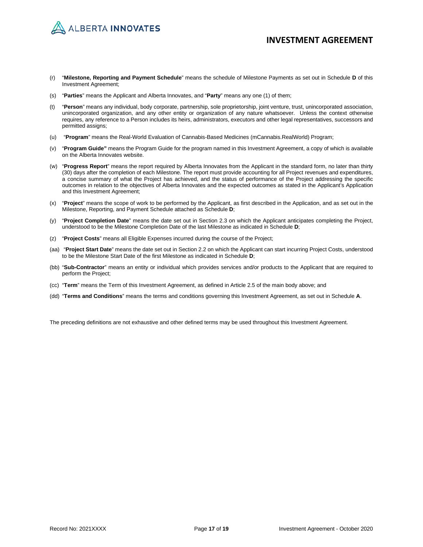

- (r) "**Milestone, Reporting and Payment Schedule**" means the schedule of Milestone Payments as set out in Schedule **D** of this Investment Agreement;
- (s) "**Parties**" means the Applicant and Alberta Innovates, and "**Party**" means any one (1) of them;
- (t) "**Person**" means any individual, body corporate, partnership, sole proprietorship, joint venture, trust, unincorporated association, unincorporated organization, and any other entity or organization of any nature whatsoever. Unless the context otherwise requires, any reference to a Person includes its heirs, administrators, executors and other legal representatives, successors and permitted assigns;
- (u) "**Program**" means the Real-World Evaluation of Cannabis-Based Medicines (mCannabis.RealWorld) Program;
- (v) "**Program Guide"** means the Program Guide for the program named in this Investment Agreement, a copy of which is available on the Alberta Innovates website.
- (w) "**Progress Report**" means the report required by Alberta Innovates from the Applicant in the standard form, no later than thirty (30) days after the completion of each Milestone. The report must provide accounting for all Project revenues and expenditures, a concise summary of what the Project has achieved, and the status of performance of the Project addressing the specific outcomes in relation to the objectives of Alberta Innovates and the expected outcomes as stated in the Applicant's Application and this Investment Agreement;
- (x) "**Project**" means the scope of work to be performed by the Applicant, as first described in the Application, and as set out in the Milestone, Reporting, and Payment Schedule attached as Schedule **D**;
- (y) "**Project Completion Date**" means the date set out in Section 2.3 on which the Applicant anticipates completing the Project, understood to be the Milestone Completion Date of the last Milestone as indicated in Schedule **D**;
- (z) "**Project Costs**" means all Eligible Expenses incurred during the course of the Project;
- (aa) "**Project Start Date**" means the date set out in Section 2.2 on which the Applicant can start incurring Project Costs, understood to be the Milestone Start Date of the first Milestone as indicated in Schedule **D**;
- (bb) "**Sub-Contractor**" means an entity or individual which provides services and/or products to the Applicant that are required to perform the Project;
- (cc) "**Term**" means the Term of this Investment Agreement, as defined in Article 2.5 of the main body above; and
- (dd) "**Terms and Conditions**" means the terms and conditions governing this Investment Agreement, as set out in Schedule **A**.

The preceding definitions are not exhaustive and other defined terms may be used throughout this Investment Agreement.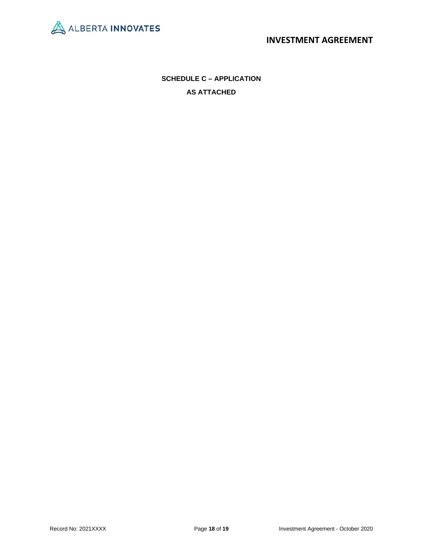

**SCHEDULE C – APPLICATION AS ATTACHED**